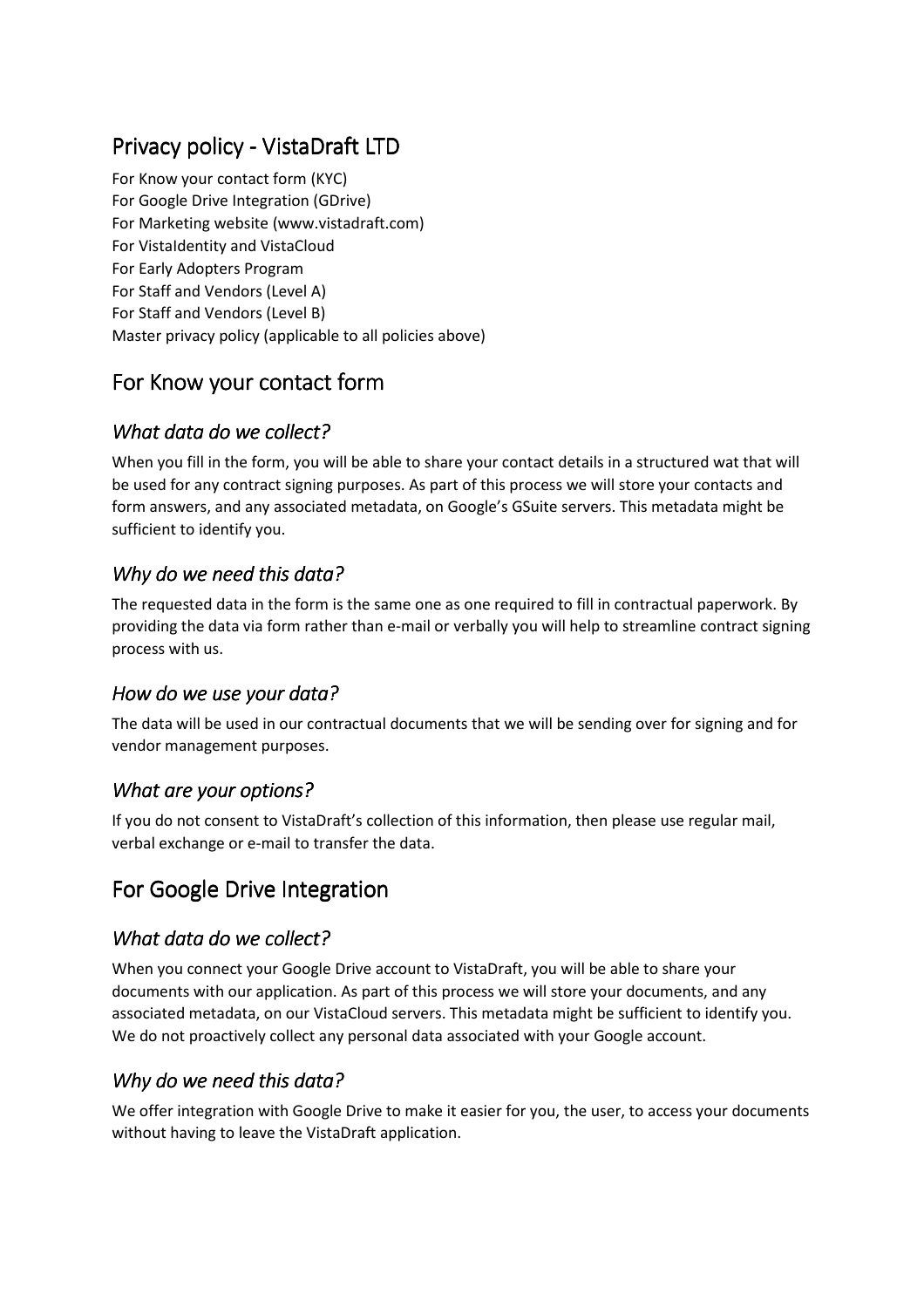# Privacy policy - VistaDraft LTD

For Know your contact form (KYC) For Google Drive Integration (GDrive) For Marketing website (www.vistadraft.com) For VistaIdentity and VistaCloud For Early Adopters Program For Staff and Vendors (Level A) For Staff and Vendors (Level B) Master privacy policy (applicable to all policies above)

## For Know your contact form

#### *What data do we collect?*

When you fill in the form, you will be able to share your contact details in a structured wat that will be used for any contract signing purposes. As part of this process we will store your contacts and form answers, and any associated metadata, on Google's GSuite servers. This metadata might be sufficient to identify you.

#### *Why do we need this data? Why do need this data?*

The requested data in the form is the same one as one required to fill in contractual paperwork. By providing the data via form rather than e-mail or verbally you will help to streamline contract signing process with us.

### *How do we use your data?*

The data will be used in our contractual documents that we will be sending over for signing and for vendor management purposes.

#### *What are your options?*

If you do not consent to VistaDraft's collection of this information, then please use regular mail, verbal exchange or e-mail to transfer the data.

## For Google Drive Integration

#### *What data do we collect?*

When you connect your Google Drive account to VistaDraft, you will be able to share your documents with our application. As part of this process we will store your documents, and any associated metadata, on our VistaCloud servers. This metadata might be sufficient to identify you. We do not proactively collect any personal data associated with your Google account.

#### *Why do we need this data? Why do need this data?*

We offer integration with Google Drive to make it easier for you, the user, to access your documents without having to leave the VistaDraft application.